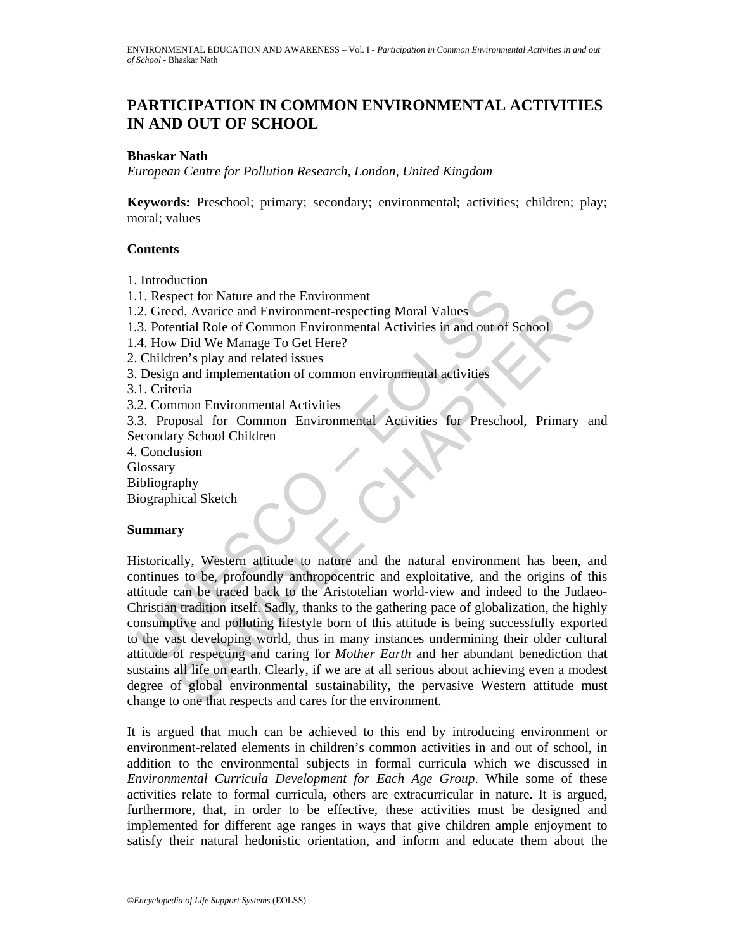# **PARTICIPATION IN COMMON ENVIRONMENTAL ACTIVITIES IN AND OUT OF SCHOOL**

### **Bhaskar Nath**

*European Centre for Pollution Research, London, United Kingdom* 

**Keywords:** Preschool; primary; secondary; environmental; activities; children; play; moral; values

# **Contents**

1. Introduction

1.1. Respect for Nature and the Environment

1.2. Greed, Avarice and Environment-respecting Moral Values

1.3. Potential Role of Common Environmental Activities in and out of School

1.4. How Did We Manage To Get Here?

2. Children's play and related issues

3. Design and implementation of common environmental activities

3.1. Criteria

3.2. Common Environmental Activities

3.3. Proposal for Common Environmental Activities for Preschool, Primary and Secondary School Children

4. Conclusion

**Glossary** 

Bibliography

Biographical Sketch

#### **Summary**

1. Respect for Nature and the Environment<br>
2. Greed, Avarice and Environment-respecting Moral Values<br>
3. Potential Role of Common Environmental Activities in and out of A. How Did We Manage To Get Here?<br>
4. How Did We Mana Execution Nature and the Environment<br>
elect for Nature and Environment-respecting Moral Values<br>
That Ale of Common Environmental Activities in and out of School<br>
Did We Manage To Get Here?<br>
The Did We Manage To Get Here?<br> Historically, Western attitude to nature and the natural environment has been, and continues to be, profoundly anthropocentric and exploitative, and the origins of this attitude can be traced back to the Aristotelian world-view and indeed to the Judaeo-Christian tradition itself. Sadly, thanks to the gathering pace of globalization, the highly consumptive and polluting lifestyle born of this attitude is being successfully exported to the vast developing world, thus in many instances undermining their older cultural attitude of respecting and caring for *Mother Earth* and her abundant benediction that sustains all life on earth. Clearly, if we are at all serious about achieving even a modest degree of global environmental sustainability, the pervasive Western attitude must change to one that respects and cares for the environment.

It is argued that much can be achieved to this end by introducing environment or environment-related elements in children's common activities in and out of school, in addition to the environmental subjects in formal curricula which we discussed in *Environmental Curricula Development for Each Age Group*. While some of these activities relate to formal curricula, others are extracurricular in nature. It is argued, furthermore, that, in order to be effective, these activities must be designed and implemented for different age ranges in ways that give children ample enjoyment to satisfy their natural hedonistic orientation, and inform and educate them about the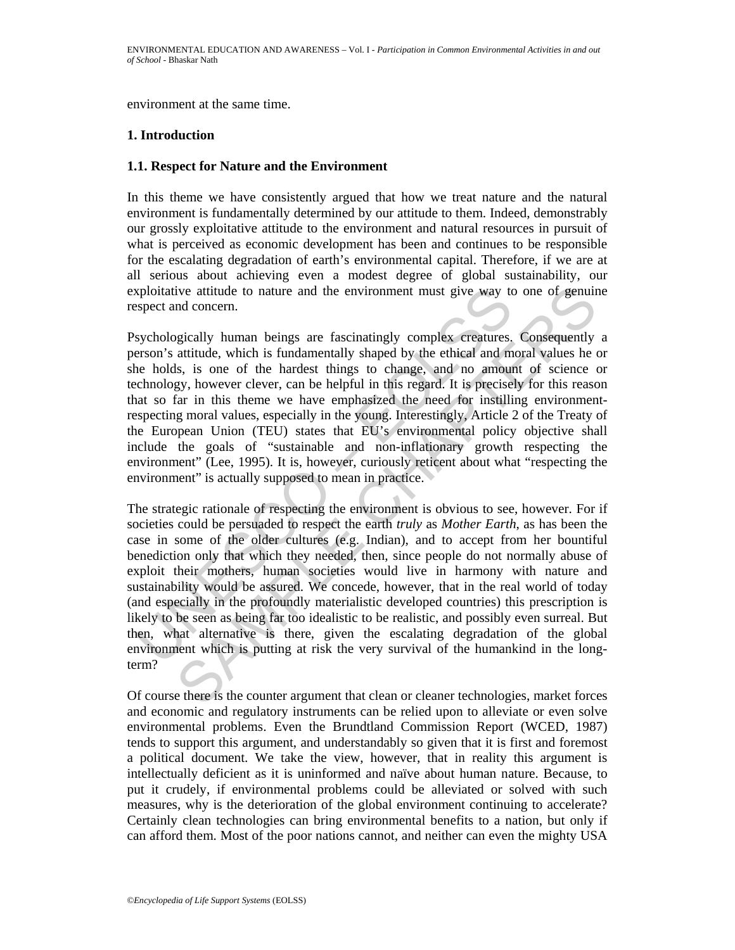environment at the same time.

# **1. Introduction**

#### **1.1. Respect for Nature and the Environment**

In this theme we have consistently argued that how we treat nature and the natural environment is fundamentally determined by our attitude to them. Indeed, demonstrably our grossly exploitative attitude to the environment and natural resources in pursuit of what is perceived as economic development has been and continues to be responsible for the escalating degradation of earth's environmental capital. Therefore, if we are at all serious about achieving even a modest degree of global sustainability, our exploitative attitude to nature and the environment must give way to one of genuine respect and concern.

Psychologically human beings are fascinatingly complex creatures. Consequently a person's attitude, which is fundamentally shaped by the ethical and moral values he or she holds, is one of the hardest things to change, and no amount of science or technology, however clever, can be helpful in this regard. It is precisely for this reason that so far in this theme we have emphasized the need for instilling environmentrespecting moral values, especially in the young. Interestingly, Article 2 of the Treaty of the European Union (TEU) states that EU's environmental policy objective shall include the goals of "sustainable and non-inflationary growth respecting the environment" (Lee, 1995). It is, however, curiously reticent about what "respecting the environment" is actually supposed to mean in practice.

xploitative attitude to nature and the environment must give way to<br>spect and concern.<br>sychologically human beings are fascinatingly complex creatures,<br>erson's attitude, which is fundamentally shaped by the ethical and m<br>e ive attitude to nature and the environment must give way to one of genuin<br>ad concern.<br>
Ind concern.<br>
Ind concern.<br>
Ind concern.<br>
Ind concern.<br>
Ind concern.<br>
Ind concern.<br>
Ind concern.<br>
Its use a for the hardest things to c The strategic rationale of respecting the environment is obvious to see, however. For if societies could be persuaded to respect the earth *truly* as *Mother Earth*, as has been the case in some of the older cultures (e.g. Indian), and to accept from her bountiful benediction only that which they needed, then, since people do not normally abuse of exploit their mothers, human societies would live in harmony with nature and sustainability would be assured. We concede, however, that in the real world of today (and especially in the profoundly materialistic developed countries) this prescription is likely to be seen as being far too idealistic to be realistic, and possibly even surreal. But then, what alternative is there, given the escalating degradation of the global environment which is putting at risk the very survival of the humankind in the longterm?

Of course there is the counter argument that clean or cleaner technologies, market forces and economic and regulatory instruments can be relied upon to alleviate or even solve environmental problems. Even the Brundtland Commission Report (WCED, 1987) tends to support this argument, and understandably so given that it is first and foremost a political document. We take the view, however, that in reality this argument is intellectually deficient as it is uninformed and naïve about human nature. Because, to put it crudely, if environmental problems could be alleviated or solved with such measures, why is the deterioration of the global environment continuing to accelerate? Certainly clean technologies can bring environmental benefits to a nation, but only if can afford them. Most of the poor nations cannot, and neither can even the mighty USA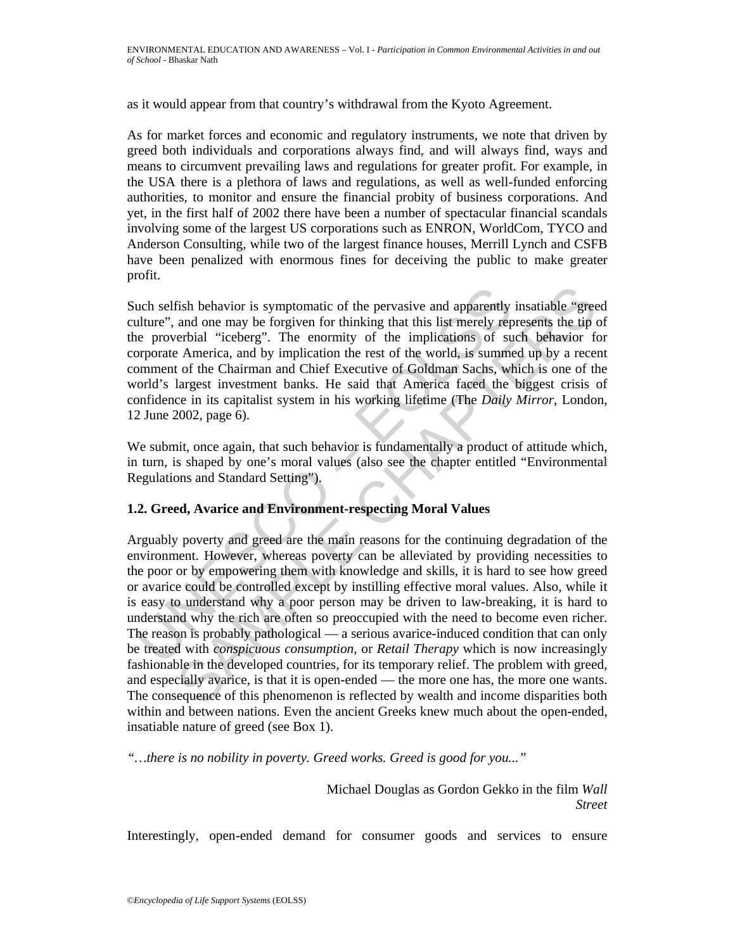as it would appear from that country's withdrawal from the Kyoto Agreement.

As for market forces and economic and regulatory instruments, we note that driven by greed both individuals and corporations always find, and will always find, ways and means to circumvent prevailing laws and regulations for greater profit. For example, in the USA there is a plethora of laws and regulations, as well as well-funded enforcing authorities, to monitor and ensure the financial probity of business corporations. And yet, in the first half of 2002 there have been a number of spectacular financial scandals involving some of the largest US corporations such as ENRON, WorldCom, TYCO and Anderson Consulting, while two of the largest finance houses, Merrill Lynch and CSFB have been penalized with enormous fines for deceiving the public to make greater profit.

Such selfish behavior is symptomatic of the pervasive and apparently insatiable "greed culture", and one may be forgiven for thinking that this list merely represents the tip of the proverbial "iceberg". The enormity of the implications of such behavior for corporate America, and by implication the rest of the world, is summed up by a recent comment of the Chairman and Chief Executive of Goldman Sachs, which is one of the world's largest investment banks. He said that America faced the biggest crisis of confidence in its capitalist system in his working lifetime (The *Daily Mirror*, London, 12 June 2002, page 6).

We submit, once again, that such behavior is fundamentally a product of attitude which, in turn, is shaped by one's moral values (also see the chapter entitled "Environmental Regulations and Standard Setting").

# **1.2. Greed, Avarice and Environment-respecting Moral Values**

uch selfish behavior is symptomatic of the pervasive and apparently<br>ulture", and one may be forgiven for thinking that this list merely rep<br>ee proverbial "iceberg". The enormity of the implications of su<br>proprate America, fish behavior is symptomatic of the pervasive and apparently insatiable "gree and one may be forgiven for thinking that this list mercly represents the tip correctional "iceberg". The enormity of the implications of such Arguably poverty and greed are the main reasons for the continuing degradation of the environment. However, whereas poverty can be alleviated by providing necessities to the poor or by empowering them with knowledge and skills, it is hard to see how greed or avarice could be controlled except by instilling effective moral values. Also, while it is easy to understand why a poor person may be driven to law-breaking, it is hard to understand why the rich are often so preoccupied with the need to become even richer. The reason is probably pathological — a serious avarice-induced condition that can only be treated with *conspicuous consumption*, or *Retail Therapy* which is now increasingly fashionable in the developed countries, for its temporary relief. The problem with greed, and especially avarice, is that it is open-ended — the more one has, the more one wants. The consequence of this phenomenon is reflected by wealth and income disparities both within and between nations. Even the ancient Greeks knew much about the open-ended, insatiable nature of greed (see Box 1).

*"…there is no nobility in poverty. Greed works. Greed is good for you..."* 

 Michael Douglas as Gordon Gekko in the film *Wall Street*

Interestingly, open-ended demand for consumer goods and services to ensure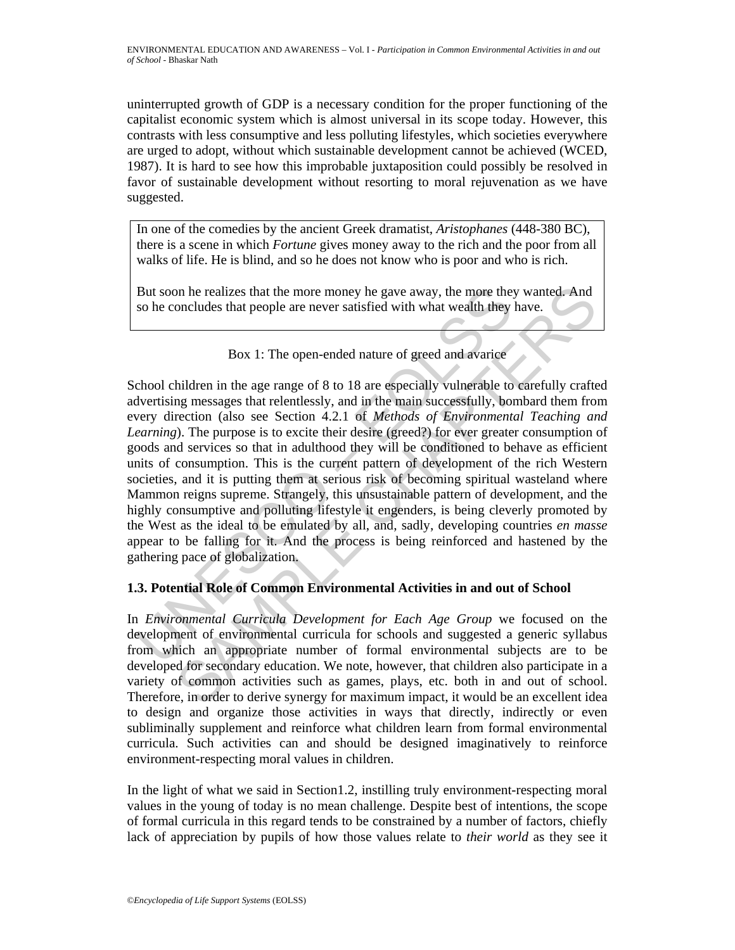uninterrupted growth of GDP is a necessary condition for the proper functioning of the capitalist economic system which is almost universal in its scope today. However, this contrasts with less consumptive and less polluting lifestyles, which societies everywhere are urged to adopt, without which sustainable development cannot be achieved (WCED, 1987). It is hard to see how this improbable juxtaposition could possibly be resolved in favor of sustainable development without resorting to moral rejuvenation as we have suggested.

In one of the comedies by the ancient Greek dramatist, *Aristophanes* (448-380 BC), there is a scene in which *Fortune* gives money away to the rich and the poor from all walks of life. He is blind, and so he does not know who is poor and who is rich.

But soon he realizes that the more money he gave away, the more they wanted. And so he concludes that people are never satisfied with what wealth they have.



But soon he realizes that the more money he gave away, the more the,<br>so he concludes that people are never satisfied with what wealth they<br><br>Dox 1: The open-ended nature of greed and avarice<br>chool children in the age range on he realizes that the more money he gave away, the more they wanted. And<br>oncludes that people are never satisfied with what wealth they have.<br>
Box 1: The open-ended nature of greed and avarice<br>
Hildren in the age range School children in the age range of 8 to 18 are especially vulnerable to carefully crafted advertising messages that relentlessly, and in the main successfully, bombard them from every direction (also see Section 4.2.1 of *Methods of Environmental Teaching and Learning*). The purpose is to excite their desire (greed?) for ever greater consumption of goods and services so that in adulthood they will be conditioned to behave as efficient units of consumption. This is the current pattern of development of the rich Western societies, and it is putting them at serious risk of becoming spiritual wasteland where Mammon reigns supreme. Strangely, this unsustainable pattern of development, and the highly consumptive and polluting lifestyle it engenders, is being cleverly promoted by the West as the ideal to be emulated by all, and, sadly, developing countries *en masse* appear to be falling for it. And the process is being reinforced and hastened by the gathering pace of globalization.

# **1.3. Potential Role of Common Environmental Activities in and out of School**

In *Environmental Curricula Development for Each Age Group* we focused on the development of environmental curricula for schools and suggested a generic syllabus from which an appropriate number of formal environmental subjects are to be developed for secondary education. We note, however, that children also participate in a variety of common activities such as games, plays, etc. both in and out of school. Therefore, in order to derive synergy for maximum impact, it would be an excellent idea to design and organize those activities in ways that directly, indirectly or even subliminally supplement and reinforce what children learn from formal environmental curricula. Such activities can and should be designed imaginatively to reinforce environment-respecting moral values in children.

In the light of what we said in Section1.2, instilling truly environment-respecting moral values in the young of today is no mean challenge. Despite best of intentions, the scope of formal curricula in this regard tends to be constrained by a number of factors, chiefly lack of appreciation by pupils of how those values relate to *their world* as they see it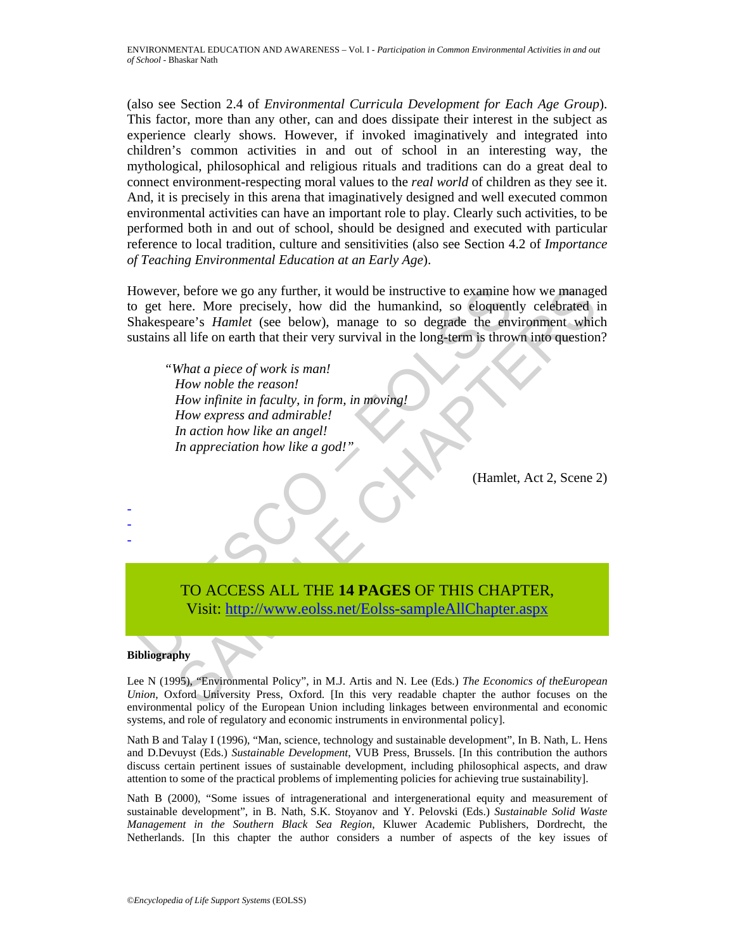(also see Section 2.4 of *Environmental Curricula Development for Each Age Group*). This factor, more than any other, can and does dissipate their interest in the subject as experience clearly shows. However, if invoked imaginatively and integrated into children's common activities in and out of school in an interesting way, the mythological, philosophical and religious rituals and traditions can do a great deal to connect environment-respecting moral values to the *real world* of children as they see it. And, it is precisely in this arena that imaginatively designed and well executed common environmental activities can have an important role to play. Clearly such activities, to be performed both in and out of school, should be designed and executed with particular reference to local tradition, culture and sensitivities (also see Section 4.2 of *Importance of Teaching Environmental Education at an Early Age*).

(owever, before we go any further, it would be instructive to examine loget here. More precisely, how did the humankind, so eloquent<br>hakespeare's *Hamlet* (see below), manage to so degrade the environmental<br>stains all life Check we go any further, it would be instructive to examine how we manage<br>
ore . More precisely, how did the humankind, so eloquently celebrated<br>
reaches are actions that their very survival in the long-term is thrown into However, before we go any further, it would be instructive to examine how we managed to get here. More precisely, how did the humankind, so eloquently celebrated in Shakespeare's *Hamlet* (see below), manage to so degrade the environment which sustains all life on earth that their very survival in the long-term is thrown into question?

 *"What a piece of work is man! How noble the reason! How infinite in faculty, in form, in moving! How express and admirable! In action how like an angel! In appreciation how like a god!"* 

(Hamlet, Act 2, Scene 2)

# TO ACCESS ALL THE **14 PAGES** OF THIS CHAPTER,

Visit: http://www.eolss.net/Eolss-sampleAllChapter.aspx

#### **Bibliography**

- - -

Lee N (1995), "Environmental Policy", in M.J. Artis and N. Lee (Eds.) *The Economics of theEuropean Union*, Oxford University Press, Oxford. [In this very readable chapter the author focuses on the environmental policy of the European Union including linkages between environmental and economic systems, and role of regulatory and economic instruments in environmental policy].

Nath B and Talay I (1996), "Man, science, technology and sustainable development", In B. Nath, L. Hens and D.Devuyst (Eds.) *Sustainable Development*, VUB Press, Brussels. [In this contribution the authors discuss certain pertinent issues of sustainable development, including philosophical aspects, and draw attention to some of the practical problems of implementing policies for achieving true sustainability].

Nath B (2000), "Some issues of intragenerational and intergenerational equity and measurement of sustainable development", in B. Nath, S.K. Stoyanov and Y. Pelovski (Eds.) *Sustainable Solid Waste Management in the Southern Black Sea Region*, Kluwer Academic Publishers, Dordrecht, the Netherlands. [In this chapter the author considers a number of aspects of the key issues of